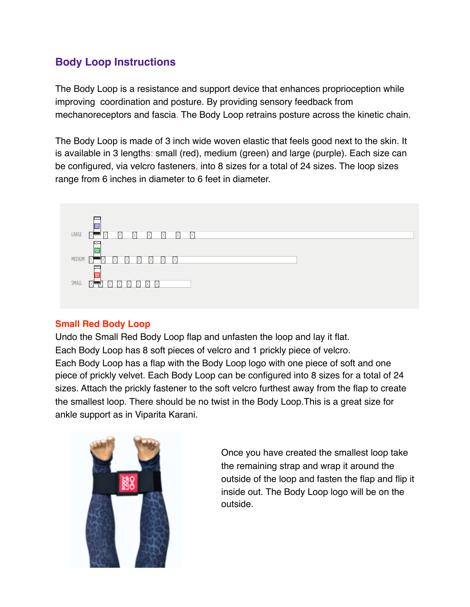# **Body Loop Instructions**

The Body Loop is a resistance and support device that enhances proprioception while improving coordination and posture. By providing sensory feedback from mechanoreceptors and fascia. The Body Loop retrains posture across the kinetic chain.

The Body Loop is made of 3 inch wide woven elastic that feels good next to the skin. It is available in 3 lengths: small (red), medium (green) and large (purple). Each size can be configured, via velcro fasteners, into 8 sizes for a total of 24 sizes. The loop sizes range from 6 inches in diameter to 6 feet in diameter.



### **Small Red Body Loop**

Undo the Small Red Body Loop flap and unfasten the loop and lay it flat. Each Body Loop has 8 soft pieces of velcro and 1 prickly piece of velcro. Each Body Loop has a flap with the Body Loop logo with one piece of soft and one piece of prickly velvet. Each Body Loop can be configured into 8 sizes for a total of 24 sizes. Attach the prickly fastener to the soft velcro furthest away from the flap to create the smallest loop. There should be no twist in the Body Loop.This is a great size for ankle support as in Viparita Karani.



Once you have created the smallest loop take the remaining strap and wrap it around the outside of the loop and fasten the flap and flip it inside out. The Body Loop logo will be on the outside.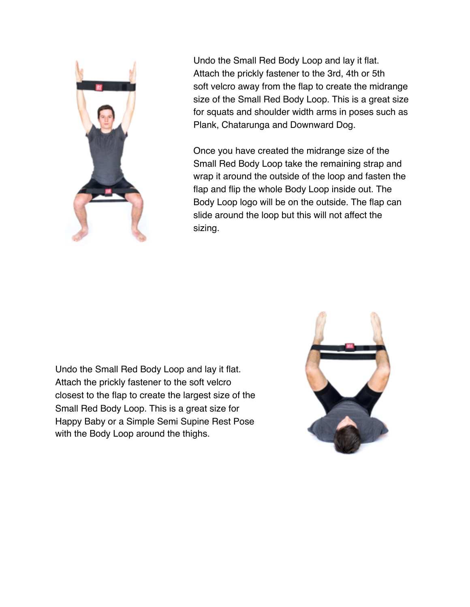

Undo the Small Red Body Loop and lay it flat. Attach the prickly fastener to the 3rd, 4th or 5th soft velcro away from the flap to create the midrange size of the Small Red Body Loop. This is a great size for squats and shoulder width arms in poses such as Plank, Chatarunga and Downward Dog.

Once you have created the midrange size of the Small Red Body Loop take the remaining strap and wrap it around the outside of the loop and fasten the flap and flip the whole Body Loop inside out. The Body Loop logo will be on the outside. The flap can slide around the loop but this will not affect the sizing.

Undo the Small Red Body Loop and lay it flat. Attach the prickly fastener to the soft velcro closest to the flap to create the largest size of the Small Red Body Loop. This is a great size for Happy Baby or a Simple Semi Supine Rest Pose with the Body Loop around the thighs.

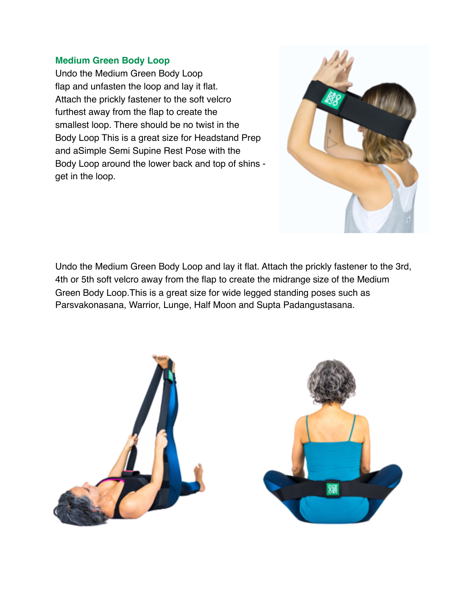#### **Medium Green Body Loop**

Undo the Medium Green Body Loop flap and unfasten the loop and lay it flat. Attach the prickly fastener to the soft velcro furthest away from the flap to create the smallest loop. There should be no twist in the Body Loop This is a great size for Headstand Prep and aSimple Semi Supine Rest Pose with the Body Loop around the lower back and top of shins get in the loop.



Undo the Medium Green Body Loop and lay it flat. Attach the prickly fastener to the 3rd, 4th or 5th soft velcro away from the flap to create the midrange size of the Medium Green Body Loop.This is a great size for wide legged standing poses such as Parsvakonasana, Warrior, Lunge, Half Moon and Supta Padangustasana.

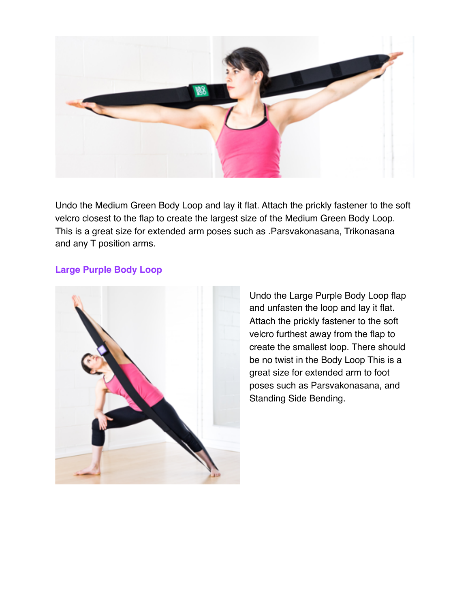

Undo the Medium Green Body Loop and lay it flat. Attach the prickly fastener to the soft velcro closest to the flap to create the largest size of the Medium Green Body Loop. This is a great size for extended arm poses such as .Parsvakonasana, Trikonasana and any T position arms.

#### **Large Purple Body Loop**



Undo the Large Purple Body Loop flap and unfasten the loop and lay it flat. Attach the prickly fastener to the soft velcro furthest away from the flap to create the smallest loop. There should be no twist in the Body Loop This is a great size for extended arm to foot poses such as Parsvakonasana, and Standing Side Bending.